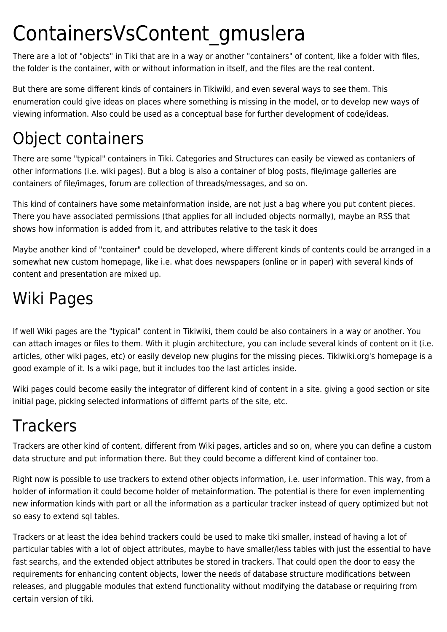## ContainersVsContent\_gmuslera

There are a lot of "objects" in Tiki that are in a way or another "containers" of content, like a folder with files, the folder is the container, with or without information in itself, and the files are the real content.

But there are some different kinds of containers in Tikiwiki, and even several ways to see them. This enumeration could give ideas on places where something is missing in the model, or to develop new ways of viewing information. Also could be used as a conceptual base for further development of code/ideas.

## Object containers

There are some "typical" containers in Tiki. Categories and Structures can easily be viewed as contaniers of other informations (i.e. wiki pages). But a blog is also a container of blog posts, file/image galleries are containers of file/images, forum are collection of threads/messages, and so on.

This kind of containers have some metainformation inside, are not just a bag where you put content pieces. There you have associated permissions (that applies for all included objects normally), maybe an RSS that shows how information is added from it, and attributes relative to the task it does

Maybe another kind of "container" could be developed, where different kinds of contents could be arranged in a somewhat new custom homepage, like i.e. what does newspapers (online or in paper) with several kinds of content and presentation are mixed up.

## Wiki Pages

If well Wiki pages are the "typical" content in Tikiwiki, them could be also containers in a way or another. You can attach images or files to them. With it plugin architecture, you can include several kinds of content on it (i.e. articles, other wiki pages, etc) or easily develop new plugins for the missing pieces. Tikiwiki.org's homepage is a good example of it. Is a wiki page, but it includes too the last articles inside.

Wiki pages could become easily the integrator of different kind of content in a site. giving a good section or site initial page, picking selected informations of differnt parts of the site, etc.

## **Trackers**

Trackers are other kind of content, different from Wiki pages, articles and so on, where you can define a custom data structure and put information there. But they could become a different kind of container too.

Right now is possible to use trackers to extend other objects information, i.e. user information. This way, from a holder of information it could become holder of metainformation. The potential is there for even implementing new information kinds with part or all the information as a particular tracker instead of query optimized but not so easy to extend sql tables.

Trackers or at least the idea behind trackers could be used to make tiki smaller, instead of having a lot of particular tables with a lot of object attributes, maybe to have smaller/less tables with just the essential to have fast searchs, and the extended object attributes be stored in trackers. That could open the door to easy the requirements for enhancing content objects, lower the needs of database structure modifications between releases, and pluggable modules that extend functionality without modifying the database or requiring from certain version of tiki.